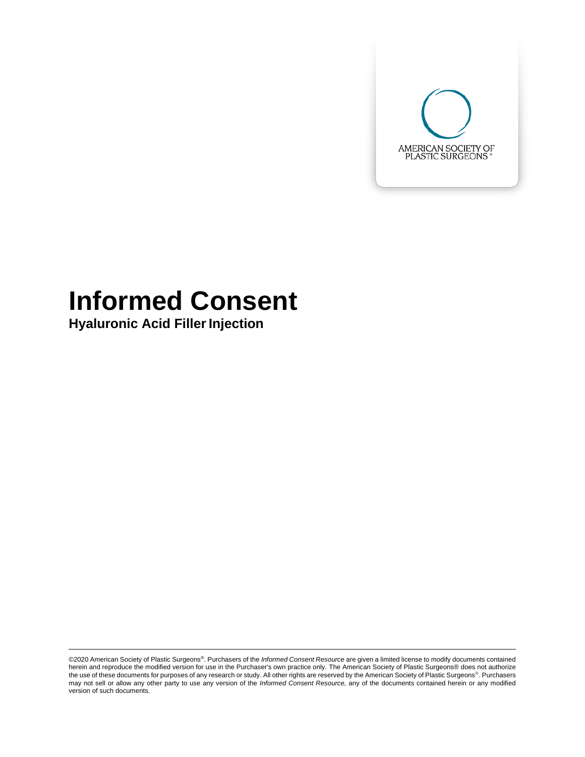

# **Informed Consent**

**Hyaluronic Acid Filler Injection** 

©2020 American Society of Plastic Surgeons®. Purchasers of the *Informed Consent Resource* are given a limited license to modify documents contained herein and reproduce the modified version for use in the Purchaser's own practice only. The American Society of Plastic Surgeons® does not authorize the use of these documents for purposes of any research or study. All other rights are reserved by the American Society of Plastic Surgeons®. Purchasers may not sell or allow any other party to use any version of the *Informed Consent Resource,* any of the documents contained herein or any modified version of such documents.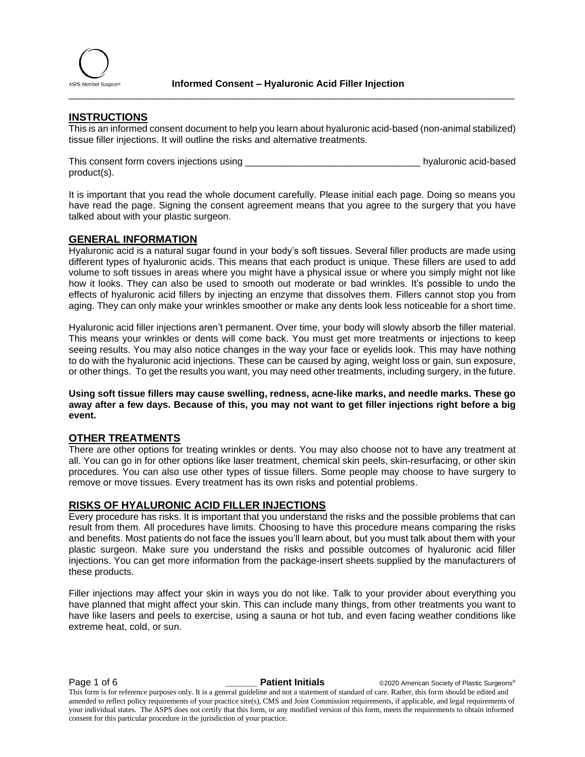

### **INSTRUCTIONS**

This is an informed consent document to help you learn about hyaluronic acid-based (non-animal stabilized) tissue filler injections. It will outline the risks and alternative treatments.

\_\_\_\_\_\_\_\_\_\_\_\_\_\_\_\_\_\_\_\_\_\_\_\_\_\_\_\_\_\_\_\_\_\_\_\_\_\_\_\_\_\_\_\_\_\_\_\_\_\_\_\_\_\_\_\_\_\_\_\_\_\_\_\_\_\_\_\_\_\_\_\_\_\_\_\_\_\_\_\_\_\_\_\_

This consent form covers injections using the state of the state of the state of hyaluronic acid-based product(s).

It is important that you read the whole document carefully. Please initial each page. Doing so means you have read the page. Signing the consent agreement means that you agree to the surgery that you have talked about with your plastic surgeon.

#### **GENERAL INFORMATION**

Hyaluronic acid is a natural sugar found in your body's soft tissues. Several filler products are made using different types of hyaluronic acids. This means that each product is unique. These fillers are used to add volume to soft tissues in areas where you might have a physical issue or where you simply might not like how it looks. They can also be used to smooth out moderate or bad wrinkles. It's possible to undo the effects of hyaluronic acid fillers by injecting an enzyme that dissolves them. Fillers cannot stop you from aging. They can only make your wrinkles smoother or make any dents look less noticeable for a short time.

Hyaluronic acid filler injections aren't permanent. Over time, your body will slowly absorb the filler material. This means your wrinkles or dents will come back. You must get more treatments or injections to keep seeing results. You may also notice changes in the way your face or eyelids look. This may have nothing to do with the hyaluronic acid injections. These can be caused by aging, weight loss or gain, sun exposure, or other things. To get the results you want, you may need other treatments, including surgery, in the future.

**Using soft tissue fillers may cause swelling, redness, acne-like marks, and needle marks. These go away after a few days. Because of this, you may not want to get filler injections right before a big event.** 

#### **OTHER TREATMENTS**

There are other options for treating wrinkles or dents. You may also choose not to have any treatment at all. You can go in for other options like laser treatment, chemical skin peels, skin-resurfacing, or other skin procedures. You can also use other types of tissue fillers. Some people may choose to have surgery to remove or move tissues. Every treatment has its own risks and potential problems.

#### **RISKS OF HYALURONIC ACID FILLER INJECTIONS**

Every procedure has risks. It is important that you understand the risks and the possible problems that can result from them. All procedures have limits. Choosing to have this procedure means comparing the risks and benefits. Most patients do not face the issues you'll learn about, but you must talk about them with your plastic surgeon. Make sure you understand the risks and possible outcomes of hyaluronic acid filler injections. You can get more information from the package-insert sheets supplied by the manufacturers of these products.

Filler injections may affect your skin in ways you do not like. Talk to your provider about everything you have planned that might affect your skin. This can include many things, from other treatments you want to have like lasers and peels to exercise, using a sauna or hot tub, and even facing weather conditions like extreme heat, cold, or sun.

**Page 1 of 6 Lastic Surgeons® CALC Patient Initials C2020** American Society of Plastic Surgeons®

This form is for reference purposes only. It is a general guideline and not a statement of standard of care. Rather, this form should be edited and amended to reflect policy requirements of your practice site(s), CMS and Joint Commission requirements, if applicable, and legal requirements of your individual states. The ASPS does not certify that this form, or any modified version of this form, meets the requirements to obtain informed consent for this particular procedure in the jurisdiction of your practice.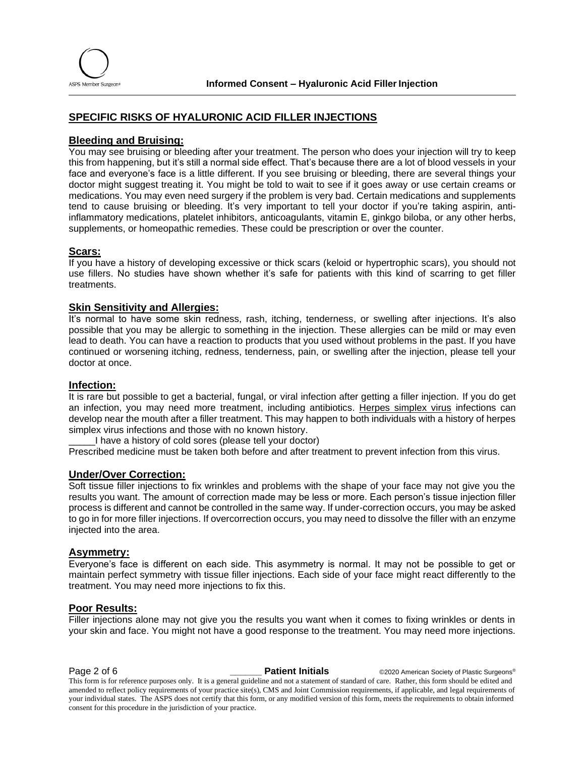

#### **SPECIFIC RISKS OF HYALURONIC ACID FILLER INJECTIONS**

#### **Bleeding and Bruising:**

You may see bruising or bleeding after your treatment. The person who does your injection will try to keep this from happening, but it's still a normal side effect. That's because there are a lot of blood vessels in your face and everyone's face is a little different. If you see bruising or bleeding, there are several things your doctor might suggest treating it. You might be told to wait to see if it goes away or use certain creams or medications. You may even need surgery if the problem is very bad. Certain medications and supplements tend to cause bruising or bleeding. It's very important to tell your doctor if you're taking aspirin, antiinflammatory medications, platelet inhibitors, anticoagulants, vitamin E, ginkgo biloba, or any other herbs, supplements, or homeopathic remedies. These could be prescription or over the counter.

#### **Scars:**

If you have a history of developing excessive or thick scars (keloid or hypertrophic scars), you should not use fillers. No studies have shown whether it's safe for patients with this kind of scarring to get filler treatments.

#### **Skin Sensitivity and Allergies:**

It's normal to have some skin redness, rash, itching, tenderness, or swelling after injections. It's also possible that you may be allergic to something in the injection. These allergies can be mild or may even lead to death. You can have a reaction to products that you used without problems in the past. If you have continued or worsening itching, redness, tenderness, pain, or swelling after the injection, please tell your doctor at once.

#### **Infection:**

It is rare but possible to get a bacterial, fungal, or viral infection after getting a filler injection. If you do get an infection, you may need more treatment, including antibiotics. Herpes simplex virus infections can develop near the mouth after a filler treatment. This may happen to both individuals with a history of herpes simplex virus infections and those with no known history.

\_\_\_\_\_I have a history of cold sores (please tell your doctor)

Prescribed medicine must be taken both before and after treatment to prevent infection from this virus.

#### **Under/Over Correction:**

Soft tissue filler injections to fix wrinkles and problems with the shape of your face may not give you the results you want. The amount of correction made may be less or more. Each person's tissue injection filler process is different and cannot be controlled in the same way. If under-correction occurs, you may be asked to go in for more filler injections. If overcorrection occurs, you may need to dissolve the filler with an enzyme injected into the area.

#### **Asymmetry:**

Everyone's face is different on each side. This asymmetry is normal. It may not be possible to get or maintain perfect symmetry with tissue filler injections. Each side of your face might react differently to the treatment. You may need more injections to fix this.

#### **Poor Results:**

Filler injections alone may not give you the results you want when it comes to fixing wrinkles or dents in your skin and face. You might not have a good response to the treatment. You may need more injections.

**Page 2 of 6 Patient Initials**  $\bullet$  ©2020 American Society of Plastic Surgeons® This form is for reference purposes only. It is a general guideline and not a statement of standard of care. Rather, this form should be edited and amended to reflect policy requirements of your practice site(s), CMS and Joint Commission requirements, if applicable, and legal requirements of your individual states. The ASPS does not certify that this form, or any modified version of this form, meets the requirements to obtain informed consent for this procedure in the jurisdiction of your practice.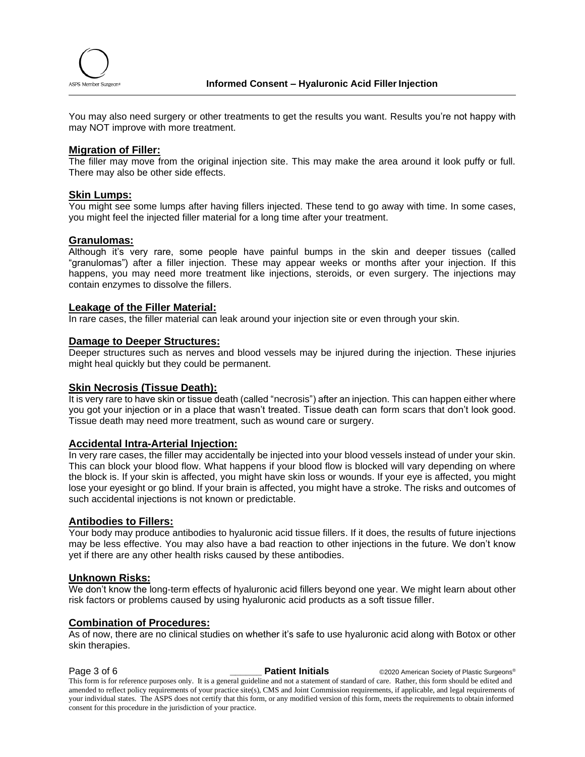

You may also need surgery or other treatments to get the results you want. Results you're not happy with may NOT improve with more treatment.

#### **Migration of Filler:**

The filler may move from the original injection site. This may make the area around it look puffy or full. There may also be other side effects.

#### **Skin Lumps:**

You might see some lumps after having fillers injected. These tend to go away with time. In some cases, you might feel the injected filler material for a long time after your treatment.

#### **Granulomas:**

Although it's very rare, some people have painful bumps in the skin and deeper tissues (called "granulomas") after a filler injection. These may appear weeks or months after your injection. If this happens, you may need more treatment like injections, steroids, or even surgery. The injections may contain enzymes to dissolve the fillers.

#### **Leakage of the Filler Material:**

In rare cases, the filler material can leak around your injection site or even through your skin.

#### **Damage to Deeper Structures:**

Deeper structures such as nerves and blood vessels may be injured during the injection. These injuries might heal quickly but they could be permanent.

#### **Skin Necrosis (Tissue Death):**

It is very rare to have skin or tissue death (called "necrosis") after an injection. This can happen either where you got your injection or in a place that wasn't treated. Tissue death can form scars that don't look good. Tissue death may need more treatment, such as wound care or surgery.

#### **Accidental Intra-Arterial Injection:**

In very rare cases, the filler may accidentally be injected into your blood vessels instead of under your skin. This can block your blood flow. What happens if your blood flow is blocked will vary depending on where the block is. If your skin is affected, you might have skin loss or wounds. If your eye is affected, you might lose your eyesight or go blind. If your brain is affected, you might have a stroke. The risks and outcomes of such accidental injections is not known or predictable.

#### **Antibodies to Fillers:**

Your body may produce antibodies to hyaluronic acid tissue fillers. If it does, the results of future injections may be less effective. You may also have a bad reaction to other injections in the future. We don't know yet if there are any other health risks caused by these antibodies.

#### **Unknown Risks:**

We don't know the long-term effects of hyaluronic acid fillers beyond one year. We might learn about other risk factors or problems caused by using hyaluronic acid products as a soft tissue filler.

#### **Combination of Procedures:**

As of now, there are no clinical studies on whether it's safe to use hyaluronic acid along with Botox or other skin therapies.

**Page 3 of 6 Patient Initials COVID Attent Initials C2020** American Society of Plastic Surgeons® This form is for reference purposes only. It is a general guideline and not a statement of standard of care. Rather, this form should be edited and amended to reflect policy requirements of your practice site(s), CMS and Joint Commission requirements, if applicable, and legal requirements of your individual states. The ASPS does not certify that this form, or any modified version of this form, meets the requirements to obtain informed consent for this procedure in the jurisdiction of your practice.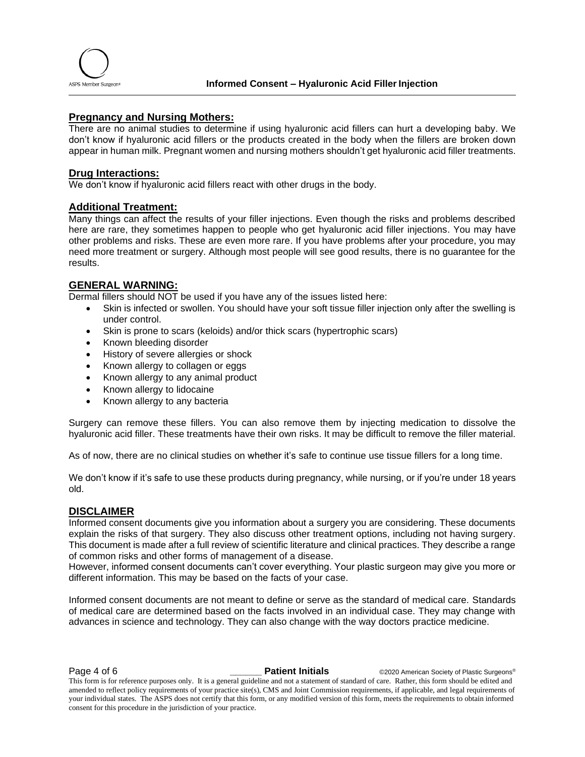

#### **Pregnancy and Nursing Mothers:**

There are no animal studies to determine if using hyaluronic acid fillers can hurt a developing baby. We don't know if hyaluronic acid fillers or the products created in the body when the fillers are broken down appear in human milk. Pregnant women and nursing mothers shouldn't get hyaluronic acid filler treatments.

#### **Drug Interactions:**

We don't know if hyaluronic acid fillers react with other drugs in the body.

#### **Additional Treatment:**

Many things can affect the results of your filler injections. Even though the risks and problems described here are rare, they sometimes happen to people who get hyaluronic acid filler injections. You may have other problems and risks. These are even more rare. If you have problems after your procedure, you may need more treatment or surgery. Although most people will see good results, there is no guarantee for the results.

#### **GENERAL WARNING:**

Dermal fillers should NOT be used if you have any of the issues listed here:

- Skin is infected or swollen. You should have your soft tissue filler injection only after the swelling is under control.
- Skin is prone to scars (keloids) and/or thick scars (hypertrophic scars)
- Known bleeding disorder
- History of severe allergies or shock
- Known allergy to collagen or eggs
- Known allergy to any animal product
- Known allergy to lidocaine
- Known allergy to any bacteria

Surgery can remove these fillers. You can also remove them by injecting medication to dissolve the hyaluronic acid filler. These treatments have their own risks. It may be difficult to remove the filler material.

As of now, there are no clinical studies on whether it's safe to continue use tissue fillers for a long time.

We don't know if it's safe to use these products during pregnancy, while nursing, or if you're under 18 years old.

#### **DISCLAIMER**

Informed consent documents give you information about a surgery you are considering. These documents explain the risks of that surgery. They also discuss other treatment options, including not having surgery. This document is made after a full review of scientific literature and clinical practices. They describe a range of common risks and other forms of management of a disease.

However, informed consent documents can't cover everything. Your plastic surgeon may give you more or different information. This may be based on the facts of your case.

Informed consent documents are not meant to define or serve as the standard of medical care. Standards of medical care are determined based on the facts involved in an individual case. They may change with advances in science and technology. They can also change with the way doctors practice medicine.

**Page 4 of 6 Patient Initials COVID Attent Initials C2020** American Society of Plastic Surgeons®

This form is for reference purposes only. It is a general guideline and not a statement of standard of care. Rather, this form should be edited and amended to reflect policy requirements of your practice site(s), CMS and Joint Commission requirements, if applicable, and legal requirements of your individual states. The ASPS does not certify that this form, or any modified version of this form, meets the requirements to obtain informed consent for this procedure in the jurisdiction of your practice.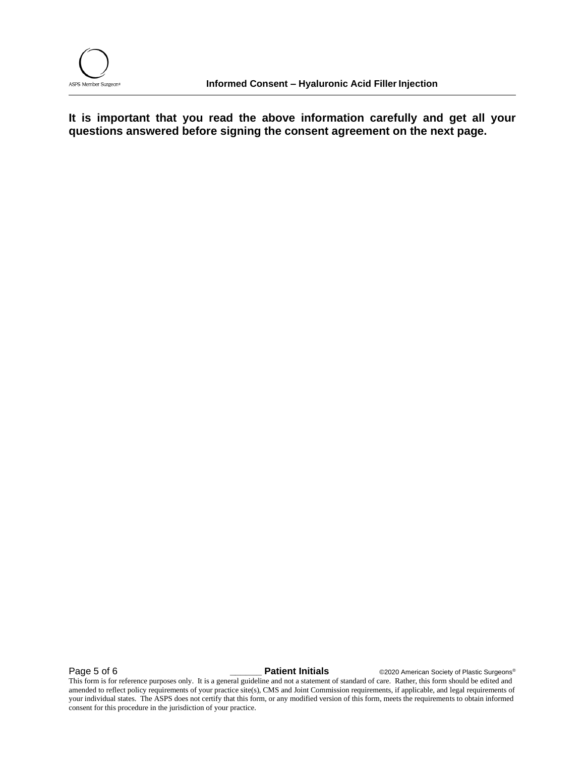

**It is important that you read the above information carefully and get all your questions answered before signing the consent agreement on the next page.**

Page 5 of 6 **b particular Contract Patient Initials C2020** American Society of Plastic Surgeons®

This form is for reference purposes only. It is a general guideline and not a statement of standard of care. Rather, this form should be edited and amended to reflect policy requirements of your practice site(s), CMS and Joint Commission requirements, if applicable, and legal requirements of your individual states. The ASPS does not certify that this form, or any modified version of this form, meets the requirements to obtain informed consent for this procedure in the jurisdiction of your practice.